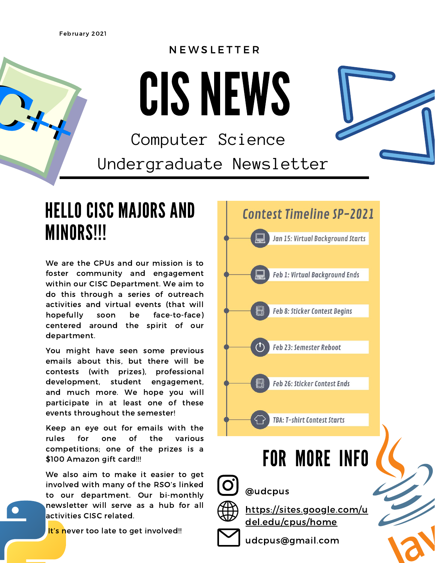February 2021

#### **NEWSLETTER**

CISNEWS

Computer Science Undergraduate Newsletter

### HELLO CISC MAJORS AND MINORS!!!

We are the CPUs and our mission is to foster community and engagement within our CISC Department. We aim to do this through a series of outreach activities and virtual events (that will hopefully soon be face-to-face) centered around the spirit of our department.

You might have seen some previous emails about this, but there will be contests (with prizes), professional development, student engagement, and much more. We hope you will participate in at least one of these events throughout the semester!

Keep an eye out for emails with the rules for one of the various competitions; one of the prizes is a \$100 Amazon gift card!!!

We also aim to make it easier to get involved with many of the RSO's linked to our department. Our bi-monthly newsletter will serve as a hub for all activities CISC related.

It's never too late to get involved!!

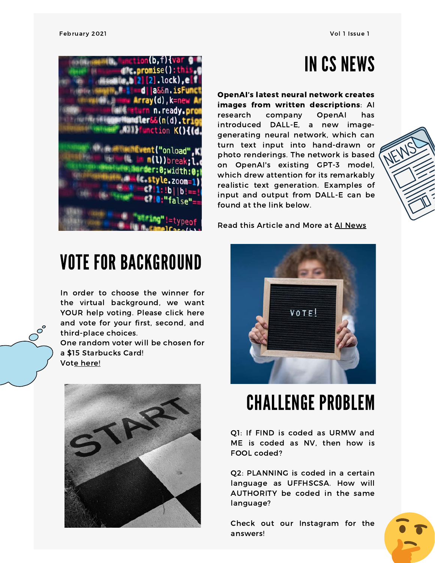## IN CS NEWS

OpenAI's latest neural network creates images from written descriptions: AI research company OpenAI has introduced DALL-E, a new imagegenerating neural network, which can turn text input into hand-drawn or photo renderings. The network is based on OpenAI's existing GPT-3 model, which drew attention for its remarkably realistic text generation. Examples of input and output from DALL-E can be found at the link below.

Read this Article and More at AI [News](https://artificialintelligence-news.com/2021/01/06/openai-latest-neural-network-creates-images-written-descriptions/)



### CHALLENGE PROBLEM

Q1: If FIND is coded as URMW and ME is coded as NV, then how is FOOL coded?

Q2: PLANNING is coded in a certain language as UFFHSCSA. How will AUTHORITY be coded in the same language?

Check out our Instagram for the answers!



#### VOTE FOR BACKGROUND

In order to choose the winner for the virtual background, we want YOUR help voting. Please click here and vote for your first, second, and third-place choices.

One random voter will be chosen for a \$15 Starbucks Card! Vote [here!](https://docs.google.com/forms/d/e/1FAIpQLSfBp6qSI56EMtGm1eyFRdQdN-ABOZ1G-a7EsvjDJLIGNRtnDg/viewform?usp=sf_link)